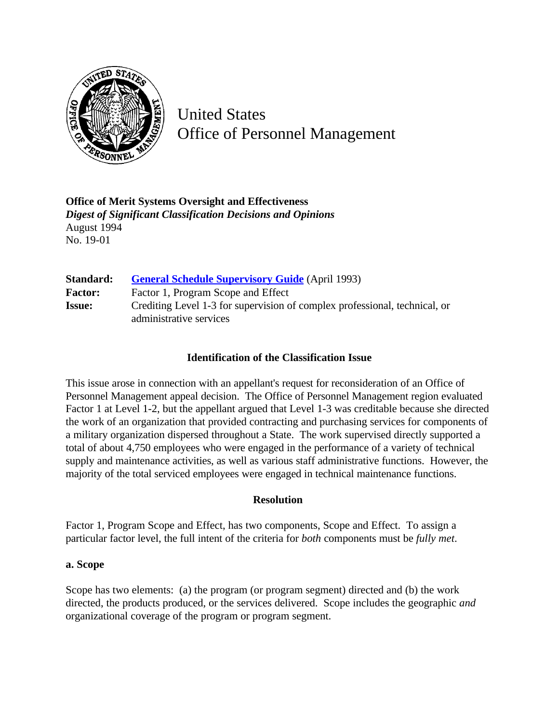

United States Office of Personnel Management

**Office of Merit Systems Oversight and Effectiveness** *Digest of Significant Classification Decisions and Opinions* August 1994 No. 19-01

| Standard:      | <b>General Schedule Supervisory Guide</b> (April 1993)                                                |
|----------------|-------------------------------------------------------------------------------------------------------|
| <b>Factor:</b> | Factor 1, Program Scope and Effect                                                                    |
| <b>Issue:</b>  | Crediting Level 1-3 for supervision of complex professional, technical, or<br>administrative services |

## **Identification of the Classification Issue**

This issue arose in connection with an appellant's request for reconsideration of an Office of Personnel Management appeal decision. The Office of Personnel Management region evaluated Factor 1 at Level 1-2, but the appellant argued that Level 1-3 was creditable because she directed the work of an organization that provided contracting and purchasing services for components of a military organization dispersed throughout a State. The work supervised directly supported a total of about 4,750 employees who were engaged in the performance of a variety of technical supply and maintenance activities, as well as various staff administrative functions. However, the majority of the total serviced employees were engaged in technical maintenance functions.

## **Resolution**

Factor 1, Program Scope and Effect, has two components, Scope and Effect. To assign a particular factor level, the full intent of the criteria for *both* components must be *fully met*.

## **a. Scope**

Scope has two elements: (a) the program (or program segment) directed and (b) the work directed, the products produced, or the services delivered. Scope includes the geographic *and* organizational coverage of the program or program segment.